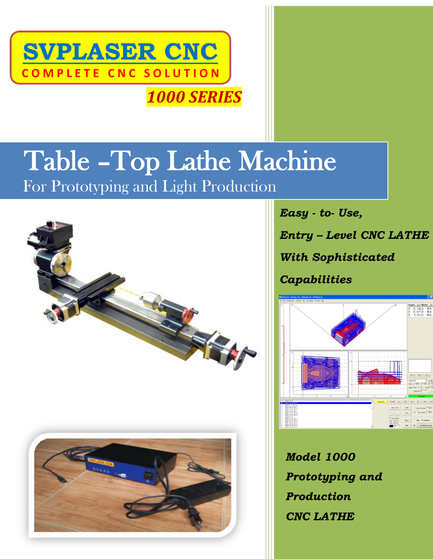

# Table –Top Lathe Machine

For Prototyping and Light Production



*Easy - to- Use,* 

*Entry – Level CNC LATHE*

*With Sophisticated*

*Capabilities*



*Model 1000 Prototyping and Production CNC LATHE*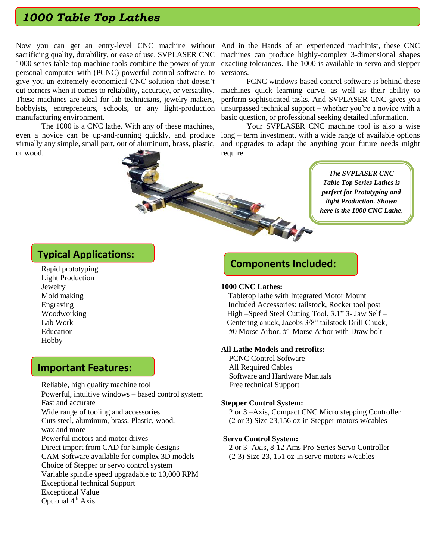# *1000 Table Top Lathes*

sacrificing quality, durability, or ease of use. SVPLASER CNC 1000 series table-top machine tools combine the power of your personal computer with (PCNC) powerful control software, to give you an extremely economical CNC solution that doesn't cut corners when it comes to reliability, accuracy, or versatility. These machines are ideal for lab technicians, jewelry makers, hobbyists, entrepreneurs, schools, or any light-production manufacturing environment.

The 1000 is a CNC lathe. With any of these machines, even a novice can be up-and-running quickly, and produce virtually any simple, small part, out of aluminum, brass, plastic, or wood.

Now you can get an entry-level CNC machine without And in the Hands of an experienced machinist, these CNC machines can produce highly-complex 3-dimensional shapes exacting tolerances. The 1000 is available in servo and stepper versions.

> PCNC windows-based control software is behind these machines quick learning curve, as well as their ability to perform sophisticated tasks. And SVPLASER CNC gives you unsurpassed technical support – whether you're a novice with a basic question, or professional seeking detailed information.

> Your SVPLASER CNC machine tool is also a wise long – term investment, with a wide range of available options and upgrades to adapt the anything your future needs might require.

> > *The SVPLASER CNC Table Top Series Lathes is perfect for Prototyping and light Production. Shown here is the 1000 CNC Lathe.*

## **Typical Applications:**

Rapid prototyping Light Production Jewelry Mold making Engraving Woodworking Lab Work Education Hobby

## **Important Features:**

Reliable, high quality machine tool Powerful, intuitive windows – based control system Fast and accurate Wide range of tooling and accessories Cuts steel, aluminum, brass, Plastic, wood, wax and more Powerful motors and motor drives Direct import from CAD for Simple designs CAM Software available for complex 3D models Choice of Stepper or servo control system Variable spindle speed upgradable to 10,000 RPM Exceptional technical Support Exceptional Value Optional 4<sup>th</sup> Axis

## **Components Included:**

#### **1000 CNC Lathes:**

 Tabletop lathe with Integrated Motor Mount Included Accessories: tailstock, Rocker tool post High –Speed Steel Cutting Tool, 3.1" 3- Jaw Self – Centering chuck, Jacobs 3/8" tailstock Drill Chuck, #0 Morse Arbor, #1 Morse Arbor with Draw bolt

#### **All Lathe Models and retrofits:**

PCNC Control Software All Required Cables Software and Hardware Manuals Free technical Support

#### **Stepper Control System:**

 2 or 3 –Axis, Compact CNC Micro stepping Controller (2 or 3) Size 23,156 oz-in Stepper motors w/cables

#### **Servo Control System:**

 2 or 3- Axis, 8-12 Ams Pro-Series Servo Controller (2-3) Size 23, 151 oz-in servo motors w/cables